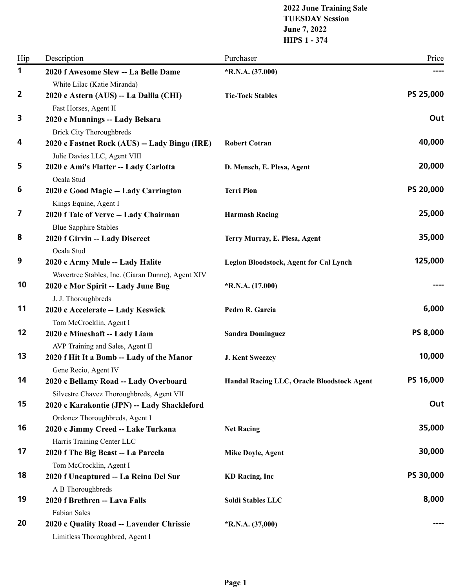#### **2022 June Training Sale TUESDAY Session June 7, 2022 HIPS 1 - 374**

| Hip            | Description                                                                          | Purchaser                                  | Price     |
|----------------|--------------------------------------------------------------------------------------|--------------------------------------------|-----------|
| $\mathbf 1$    | 2020 f Awesome Slew -- La Belle Dame                                                 | $*R.N.A. (37,000)$                         |           |
| $\overline{2}$ | White Lilac (Katie Miranda)<br>2020 c Astern (AUS) -- La Dalila (CHI)                | <b>Tic-Tock Stables</b>                    | PS 25,000 |
|                | Fast Horses, Agent II                                                                |                                            |           |
| 3              | 2020 c Munnings -- Lady Belsara<br><b>Brick City Thoroughbreds</b>                   |                                            | Out       |
| 4              | 2020 c Fastnet Rock (AUS) -- Lady Bingo (IRE)<br>Julie Davies LLC, Agent VIII        | <b>Robert Cotran</b>                       | 40,000    |
| 5              | 2020 c Ami's Flatter -- Lady Carlotta<br>Ocala Stud                                  | D. Mensch, E. Plesa, Agent                 | 20,000    |
| 6              | 2020 c Good Magic -- Lady Carrington<br>Kings Equine, Agent I                        | <b>Terri Pion</b>                          | PS 20,000 |
| 7              | 2020 f Tale of Verve -- Lady Chairman<br><b>Blue Sapphire Stables</b>                | <b>Harmash Racing</b>                      | 25,000    |
| 8              | 2020 f Girvin -- Lady Discreet<br>Ocala Stud                                         | Terry Murray, E. Plesa, Agent              | 35,000    |
| 9              | 2020 c Army Mule -- Lady Halite<br>Wavertree Stables, Inc. (Ciaran Dunne), Agent XIV | Legion Bloodstock, Agent for Cal Lynch     | 125,000   |
| 10             | 2020 c Mor Spirit -- Lady June Bug<br>J. J. Thoroughbreds                            | $*R.N.A. (17,000)$                         |           |
| 11             | 2020 c Accelerate -- Lady Keswick<br>Tom McCrocklin, Agent I                         | Pedro R. Garcia                            | 6,000     |
| 12             | 2020 c Mineshaft -- Lady Liam<br>AVP Training and Sales, Agent II                    | <b>Sandra Dominguez</b>                    | PS 8,000  |
| 13             | 2020 f Hit It a Bomb -- Lady of the Manor<br>Gene Recio, Agent IV                    | J. Kent Sweezey                            | 10,000    |
| 14             | 2020 c Bellamy Road -- Lady Overboard<br>Silvestre Chavez Thoroughbreds, Agent VII   | Handal Racing LLC, Oracle Bloodstock Agent | PS 16,000 |
| 15             | 2020 c Karakontie (JPN) -- Lady Shackleford<br>Ordonez Thoroughbreds, Agent I        |                                            | Out       |
| 16             | 2020 c Jimmy Creed -- Lake Turkana<br>Harris Training Center LLC                     | <b>Net Racing</b>                          | 35,000    |
| 17             | 2020 f The Big Beast -- La Parcela<br>Tom McCrocklin, Agent I                        | <b>Mike Doyle, Agent</b>                   | 30,000    |
| 18             | 2020 f Uncaptured -- La Reina Del Sur<br>A B Thoroughbreds                           | <b>KD</b> Racing, Inc                      | PS 30,000 |
| 19             | 2020 f Brethren -- Lava Falls<br>Fabian Sales                                        | Soldi Stables LLC                          | 8,000     |
| 20             | 2020 c Quality Road -- Lavender Chrissie<br>Limitless Thoroughbred, Agent I          | $*R.N.A. (37,000)$                         |           |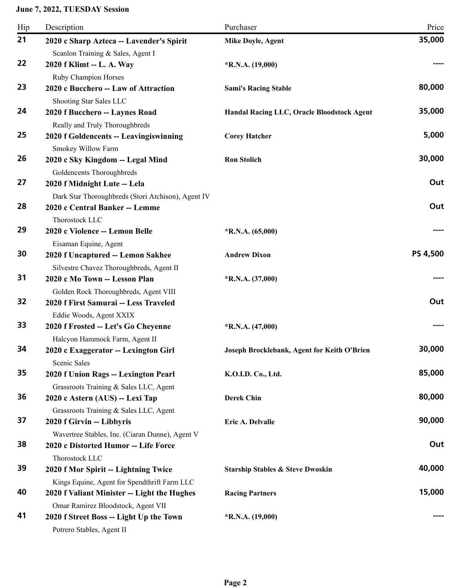| Hip | Description                                                               | Purchaser                                   | Price    |
|-----|---------------------------------------------------------------------------|---------------------------------------------|----------|
| 21  | 2020 c Sharp Azteca -- Lavender's Spirit                                  | Mike Doyle, Agent                           | 35,000   |
|     | Scanlon Training & Sales, Agent I                                         |                                             |          |
| 22  | 2020 f Klimt -- L. A. Way                                                 | $*R.N.A. (19,000)$                          |          |
|     | Ruby Champion Horses                                                      |                                             |          |
| 23  | 2020 c Bucchero -- Law of Attraction                                      | <b>Sami's Racing Stable</b>                 | 80,000   |
|     | Shooting Star Sales LLC                                                   |                                             |          |
| 24  | 2020 f Bucchero -- Laynes Road                                            | Handal Racing LLC, Oracle Bloodstock Agent  | 35,000   |
|     | Really and Truly Thoroughbreds                                            |                                             |          |
| 25  | 2020 f Goldencents -- Leavingiswinning                                    | <b>Corey Hatcher</b>                        | 5,000    |
|     | Smokey Willow Farm                                                        |                                             |          |
| 26  | 2020 c Sky Kingdom -- Legal Mind                                          | <b>Ron Stolich</b>                          | 30,000   |
|     | Goldencents Thoroughbreds                                                 |                                             |          |
| 27  | 2020 f Midnight Lute -- Lela                                              |                                             | Out      |
| 28  | Dark Star Thoroughbreds (Stori Atchison), Agent IV                        |                                             | Out      |
|     | 2020 c Central Banker -- Lemme                                            |                                             |          |
| 29  | Thorostock LLC<br>2020 c Violence -- Lemon Belle                          |                                             |          |
|     |                                                                           | $*R.N.A. (65,000)$                          |          |
| 30  | Eisaman Equine, Agent<br>2020 f Uncaptured -- Lemon Sakhee                | <b>Andrew Dixon</b>                         | PS 4,500 |
|     |                                                                           |                                             |          |
| 31  | Silvestre Chavez Thoroughbreds, Agent II<br>2020 c Mo Town -- Lesson Plan | $*R.N.A. (37,000)$                          |          |
|     | Golden Rock Thoroughbreds, Agent VIII                                     |                                             |          |
| 32  | 2020 f First Samurai -- Less Traveled                                     |                                             | Out      |
|     | Eddie Woods, Agent XXIX                                                   |                                             |          |
| 33  | 2020 f Frosted -- Let's Go Cheyenne                                       | $*R.N.A. (47,000)$                          |          |
|     | Halcyon Hammock Farm, Agent II                                            |                                             |          |
| 34  | 2020 c Exaggerator -- Lexington Girl                                      | Joseph Brocklebank, Agent for Keith O'Brien | 30,000   |
|     | Scenic Sales                                                              |                                             |          |
| 35  | 2020 f Union Rags -- Lexington Pearl                                      | K.O.I.D. Co., Ltd.                          | 85,000   |
|     | Grassroots Training & Sales LLC, Agent                                    |                                             |          |
| 36  | 2020 c Astern (AUS) -- Lexi Tap                                           | <b>Derek Chin</b>                           | 80,000   |
|     | Grassroots Training & Sales LLC, Agent                                    |                                             |          |
| 37  | 2020 f Girvin -- Libbyris                                                 | Eric A. Delvalle                            | 90,000   |
|     | Wavertree Stables, Inc. (Ciaran Dunne), Agent V                           |                                             |          |
| 38  | 2020 c Distorted Humor -- Life Force                                      |                                             | Out      |
|     | Thorostock LLC                                                            |                                             |          |
| 39  | 2020 f Mor Spirit -- Lightning Twice                                      | <b>Starship Stables &amp; Steve Dwoskin</b> | 40,000   |
|     | Kings Equine, Agent for Spendthrift Farm LLC                              |                                             |          |
| 40  | 2020 f Valiant Minister -- Light the Hughes                               | <b>Racing Partners</b>                      | 15,000   |
|     | Omar Ramirez Bloodstock, Agent VII                                        |                                             |          |
| 41  | 2020 f Street Boss -- Light Up the Town                                   | $*R.N.A. (19,000)$                          |          |
|     | Potrero Stables, Agent II                                                 |                                             |          |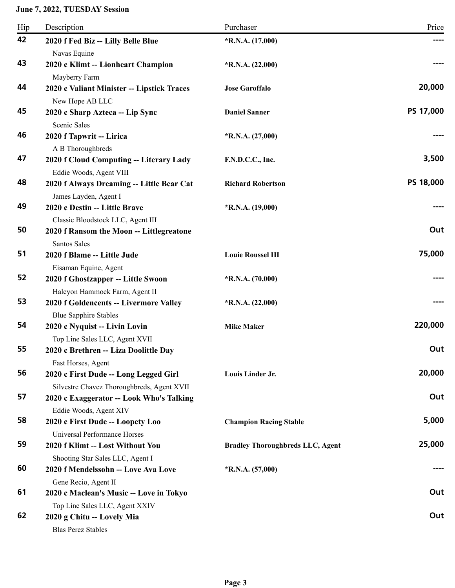| Hip | Description                                | Purchaser                               | Price     |
|-----|--------------------------------------------|-----------------------------------------|-----------|
| 42  | 2020 f Fed Biz -- Lilly Belle Blue         | $*$ R.N.A. $(17,000)$                   |           |
|     | Navas Equine                               |                                         |           |
| 43  | 2020 c Klimt -- Lionheart Champion         | $*R.N.A. (22,000)$                      |           |
|     | Mayberry Farm                              |                                         |           |
| 44  | 2020 c Valiant Minister -- Lipstick Traces | <b>Jose Garoffalo</b>                   | 20,000    |
|     | New Hope AB LLC                            |                                         |           |
| 45  | 2020 c Sharp Azteca -- Lip Sync            | <b>Daniel Sanner</b>                    | PS 17,000 |
|     | Scenic Sales                               |                                         |           |
| 46  | 2020 f Tapwrit -- Lirica                   | $*R.N.A. (27,000)$                      |           |
|     | A B Thoroughbreds                          |                                         |           |
| 47  | 2020 f Cloud Computing -- Literary Lady    | F.N.D.C.C., Inc.                        | 3,500     |
|     | Eddie Woods, Agent VIII                    |                                         |           |
| 48  | 2020 f Always Dreaming -- Little Bear Cat  | <b>Richard Robertson</b>                | PS 18,000 |
|     | James Layden, Agent I                      |                                         |           |
| 49  | 2020 c Destin -- Little Brave              | $*R.N.A. (19,000)$                      |           |
|     | Classic Bloodstock LLC, Agent III          |                                         |           |
| 50  | 2020 f Ransom the Moon -- Littlegreatone   |                                         | Out       |
|     | Santos Sales                               |                                         |           |
| 51  | 2020 f Blame -- Little Jude                | <b>Louie Roussel III</b>                | 75,000    |
|     | Eisaman Equine, Agent                      |                                         |           |
| 52  | 2020 f Ghostzapper -- Little Swoon         | $*$ R.N.A. $(70,000)$                   |           |
|     | Halcyon Hammock Farm, Agent II             |                                         |           |
| 53  | 2020 f Goldencents -- Livermore Valley     | $*R.N.A. (22,000)$                      |           |
|     | <b>Blue Sapphire Stables</b>               |                                         |           |
| 54  | 2020 c Nyquist -- Livin Lovin              | <b>Mike Maker</b>                       | 220,000   |
|     | Top Line Sales LLC, Agent XVII             |                                         |           |
| 55  | 2020 c Brethren -- Liza Doolittle Day      |                                         | Out       |
|     | Fast Horses, Agent                         |                                         |           |
| 56  | 2020 c First Dude -- Long Legged Girl      | Louis Linder Jr.                        | 20,000    |
|     | Silvestre Chavez Thoroughbreds, Agent XVII |                                         |           |
| 57  | 2020 c Exaggerator -- Look Who's Talking   |                                         | Out       |
|     | Eddie Woods, Agent XIV                     |                                         |           |
| 58  | 2020 c First Dude -- Loopety Loo           | <b>Champion Racing Stable</b>           | 5,000     |
|     | Universal Performance Horses               |                                         |           |
| 59  | 2020 f Klimt -- Lost Without You           | <b>Bradley Thoroughbreds LLC, Agent</b> | 25,000    |
|     | Shooting Star Sales LLC, Agent I           |                                         |           |
| 60  | 2020 f Mendelssohn -- Love Ava Love        | $*$ R.N.A. $(57,000)$                   |           |
|     | Gene Recio, Agent II                       |                                         |           |
| 61  | 2020 c Maclean's Music -- Love in Tokyo    |                                         | Out       |
|     | Top Line Sales LLC, Agent XXIV             |                                         |           |
| 62  | 2020 g Chitu -- Lovely Mia                 |                                         | Out       |
|     | <b>Blas Perez Stables</b>                  |                                         |           |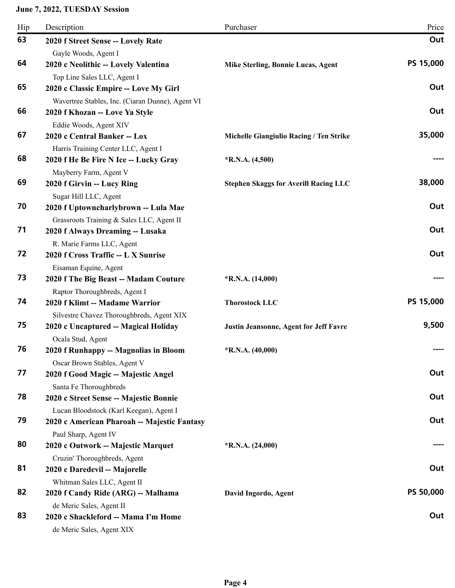| Hip | Description                                                                   | Purchaser                                    | Price     |
|-----|-------------------------------------------------------------------------------|----------------------------------------------|-----------|
| 63  | 2020 f Street Sense -- Lovely Rate                                            |                                              | Out       |
|     | Gayle Woods, Agent I                                                          |                                              |           |
| 64  | 2020 c Neolithic -- Lovely Valentina                                          | Mike Sterling, Bonnie Lucas, Agent           | PS 15,000 |
|     | Top Line Sales LLC, Agent I                                                   |                                              |           |
| 65  | 2020 c Classic Empire -- Love My Girl                                         |                                              | Out       |
|     | Wavertree Stables, Inc. (Ciaran Dunne), Agent VI                              |                                              |           |
| 66  | 2020 f Khozan -- Love Ya Style                                                |                                              | Out       |
|     | Eddie Woods, Agent XIV                                                        |                                              |           |
| 67  | 2020 c Central Banker -- Lox                                                  | Michelle Giangiulio Racing / Ten Strike      | 35,000    |
|     | Harris Training Center LLC, Agent I                                           |                                              |           |
| 68  | 2020 f He Be Fire N Ice -- Lucky Gray                                         | $*R.N.A. (4,500)$                            |           |
| 69  | Mayberry Farm, Agent V                                                        |                                              | 38,000    |
|     | 2020 f Girvin -- Lucy Ring                                                    | <b>Stephen Skaggs for Averill Racing LLC</b> |           |
| 70  | Sugar Hill LLC, Agent                                                         |                                              | Out       |
|     | 2020 f Uptowncharlybrown -- Lula Mae                                          |                                              |           |
| 71  | Grassroots Training & Sales LLC, Agent II<br>2020 f Always Dreaming -- Lusaka |                                              | Out       |
|     | R. Marie Farms LLC, Agent                                                     |                                              |           |
| 72  | 2020 f Cross Traffic -- L X Sunrise                                           |                                              | Out       |
|     | Eisaman Equine, Agent                                                         |                                              |           |
| 73  | 2020 f The Big Beast -- Madam Couture                                         | $*R.N.A. (14,000)$                           |           |
|     | Raptor Thoroughbreds, Agent I                                                 |                                              |           |
| 74  | 2020 f Klimt -- Madame Warrior                                                | <b>Thorostock LLC</b>                        | PS 15,000 |
|     | Silvestre Chavez Thoroughbreds, Agent XIX                                     |                                              |           |
| 75  | 2020 c Uncaptured -- Magical Holiday                                          | Justin Jeansonne, Agent for Jeff Favre       | 9,500     |
|     | Ocala Stud, Agent                                                             |                                              |           |
| 76  | 2020 f Runhappy -- Magnolias in Bloom                                         | *R.N.A. $(40,000)$                           |           |
|     | Oscar Brown Stables, Agent V                                                  |                                              |           |
| 77  | 2020 f Good Magic -- Majestic Angel                                           |                                              | Out       |
|     | Santa Fe Thoroughbreds                                                        |                                              |           |
| 78  | 2020 c Street Sense -- Majestic Bonnie                                        |                                              | Out       |
|     | Lucan Bloodstock (Karl Keegan), Agent I                                       |                                              |           |
| 79  | 2020 c American Pharoah -- Majestic Fantasy                                   |                                              | Out       |
|     | Paul Sharp, Agent IV                                                          |                                              |           |
| 80  | 2020 c Outwork -- Majestic Marquet                                            | $*R.N.A. (24,000)$                           |           |
|     | Cruzin' Thoroughbreds, Agent                                                  |                                              |           |
| 81  | 2020 c Daredevil -- Majorelle                                                 |                                              | Out       |
|     | Whitman Sales LLC, Agent II                                                   |                                              |           |
| 82  | 2020 f Candy Ride (ARG) -- Malhama                                            | David Ingordo, Agent                         | PS 50,000 |
|     | de Meric Sales, Agent II                                                      |                                              |           |
| 83  | 2020 c Shackleford -- Mama I'm Home                                           |                                              | Out       |
|     | de Meric Sales, Agent XIX                                                     |                                              |           |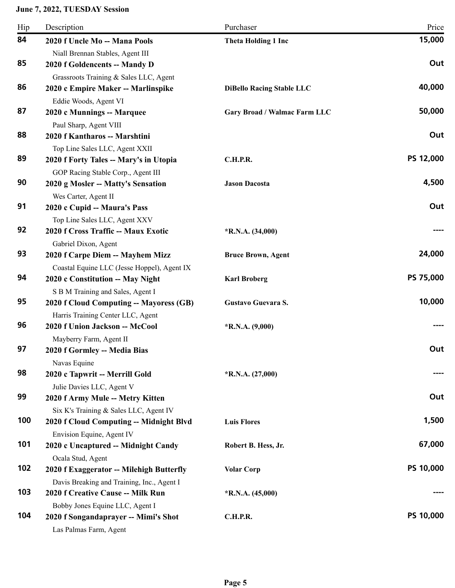| Hip | Description                                                              | Purchaser                        | Price     |
|-----|--------------------------------------------------------------------------|----------------------------------|-----------|
| 84  | 2020 f Uncle Mo -- Mana Pools                                            | Theta Holding 1 Inc              | 15,000    |
|     | Niall Brennan Stables, Agent III                                         |                                  |           |
| 85  | 2020 f Goldencents -- Mandy D                                            |                                  | Out       |
|     | Grassroots Training & Sales LLC, Agent                                   |                                  |           |
| 86  | 2020 c Empire Maker -- Marlinspike                                       | <b>DiBello Racing Stable LLC</b> | 40,000    |
|     | Eddie Woods, Agent VI                                                    |                                  |           |
| 87  | 2020 c Munnings -- Marquee                                               | Gary Broad / Walmac Farm LLC     | 50,000    |
|     | Paul Sharp, Agent VIII                                                   |                                  |           |
| 88  | 2020 f Kantharos -- Marshtini                                            |                                  | Out       |
| 89  | Top Line Sales LLC, Agent XXII                                           |                                  | PS 12,000 |
|     | 2020 f Forty Tales -- Mary's in Utopia                                   | C.H.P.R.                         |           |
| 90  | GOP Racing Stable Corp., Agent III<br>2020 g Mosler -- Matty's Sensation | <b>Jason Dacosta</b>             | 4,500     |
|     | Wes Carter, Agent II                                                     |                                  |           |
| 91  | 2020 c Cupid -- Maura's Pass                                             |                                  | Out       |
|     | Top Line Sales LLC, Agent XXV                                            |                                  |           |
| 92  | 2020 f Cross Traffic -- Maux Exotic                                      | $*R.N.A. (34,000)$               |           |
|     | Gabriel Dixon, Agent                                                     |                                  |           |
| 93  | 2020 f Carpe Diem -- Mayhem Mizz                                         | <b>Bruce Brown, Agent</b>        | 24,000    |
|     | Coastal Equine LLC (Jesse Hoppel), Agent IX                              |                                  |           |
| 94  | 2020 c Constitution -- May Night                                         | <b>Karl Broberg</b>              | PS 75,000 |
|     | S B M Training and Sales, Agent I                                        |                                  |           |
| 95  | 2020 f Cloud Computing -- Mayoress (GB)                                  | Gustavo Guevara S.               | 10,000    |
|     | Harris Training Center LLC, Agent                                        |                                  |           |
| 96  | 2020 f Union Jackson -- McCool                                           | $*R.N.A. (9,000)$                |           |
|     | Mayberry Farm, Agent II                                                  |                                  |           |
| 97  | 2020 f Gormley -- Media Bias                                             |                                  | Out       |
| 98  | Navas Equine<br>2020 c Tapwrit -- Merrill Gold                           | $*R.N.A. (27,000)$               |           |
|     | Julie Davies LLC, Agent V                                                |                                  |           |
| 99  | 2020 f Army Mule -- Metry Kitten                                         |                                  | Out       |
|     | Six K's Training & Sales LLC, Agent IV                                   |                                  |           |
| 100 | 2020 f Cloud Computing -- Midnight Blvd                                  | <b>Luis Flores</b>               | 1,500     |
|     | Envision Equine, Agent IV                                                |                                  |           |
| 101 | 2020 c Uncaptured -- Midnight Candy                                      | Robert B. Hess, Jr.              | 67,000    |
|     | Ocala Stud, Agent                                                        |                                  |           |
| 102 | 2020 f Exaggerator -- Milehigh Butterfly                                 | <b>Volar Corp</b>                | PS 10,000 |
|     | Davis Breaking and Training, Inc., Agent I                               |                                  |           |
| 103 | 2020 f Creative Cause -- Milk Run                                        | $*R.N.A. (45,000)$               |           |
|     | Bobby Jones Equine LLC, Agent I                                          |                                  |           |
| 104 | 2020 f Songandaprayer -- Mimi's Shot                                     | C.H.P.R.                         | PS 10,000 |
|     | Las Palmas Farm, Agent                                                   |                                  |           |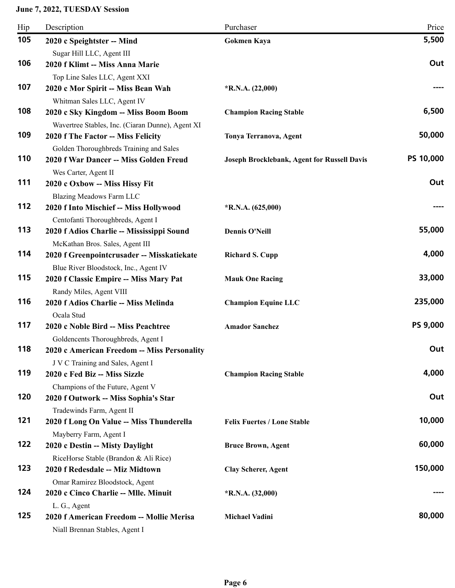| Hip | Description                                                              | Purchaser                                   | Price           |
|-----|--------------------------------------------------------------------------|---------------------------------------------|-----------------|
| 105 | 2020 c Speightster -- Mind                                               | <b>Gokmen Kaya</b>                          | 5,500           |
|     | Sugar Hill LLC, Agent III                                                |                                             |                 |
| 106 | 2020 f Klimt -- Miss Anna Marie                                          |                                             | Out             |
|     | Top Line Sales LLC, Agent XXI                                            |                                             |                 |
| 107 | 2020 c Mor Spirit -- Miss Bean Wah                                       | $*R.N.A. (22,000)$                          |                 |
|     | Whitman Sales LLC, Agent IV                                              |                                             |                 |
| 108 | 2020 c Sky Kingdom -- Miss Boom Boom                                     | <b>Champion Racing Stable</b>               | 6,500           |
|     | Wavertree Stables, Inc. (Ciaran Dunne), Agent XI                         |                                             |                 |
| 109 | 2020 f The Factor -- Miss Felicity                                       | Tonya Terranova, Agent                      | 50,000          |
|     | Golden Thoroughbreds Training and Sales                                  |                                             |                 |
| 110 | 2020 f War Dancer -- Miss Golden Freud                                   | Joseph Brocklebank, Agent for Russell Davis | PS 10,000       |
| 111 | Wes Carter, Agent II                                                     |                                             | Out             |
|     | 2020 c Oxbow -- Miss Hissy Fit                                           |                                             |                 |
| 112 | Blazing Meadows Farm LLC<br>2020 f Into Mischief -- Miss Hollywood       | $*R.N.A. (625,000)$                         |                 |
|     | Centofanti Thoroughbreds, Agent I                                        |                                             |                 |
| 113 | 2020 f Adios Charlie -- Mississippi Sound                                | <b>Dennis O'Neill</b>                       | 55,000          |
|     | McKathan Bros. Sales, Agent III                                          |                                             |                 |
| 114 | 2020 f Greenpointcrusader -- Misskatiekate                               | <b>Richard S. Cupp</b>                      | 4,000           |
|     | Blue River Bloodstock, Inc., Agent IV                                    |                                             |                 |
| 115 | 2020 f Classic Empire -- Miss Mary Pat                                   | <b>Mauk One Racing</b>                      | 33,000          |
|     | Randy Miles, Agent VIII                                                  |                                             |                 |
| 116 | 2020 f Adios Charlie -- Miss Melinda                                     | <b>Champion Equine LLC</b>                  | 235,000         |
|     | Ocala Stud                                                               |                                             |                 |
| 117 | 2020 c Noble Bird -- Miss Peachtree                                      | <b>Amador Sanchez</b>                       | <b>PS 9,000</b> |
|     | Goldencents Thoroughbreds, Agent I                                       |                                             |                 |
| 118 | 2020 c American Freedom -- Miss Personality                              |                                             | Out             |
|     | J V C Training and Sales, Agent I                                        |                                             | 4,000           |
| 119 | 2020 c Fed Biz -- Miss Sizzle                                            | <b>Champion Racing Stable</b>               |                 |
| 120 | Champions of the Future, Agent V<br>2020 f Outwork -- Miss Sophia's Star |                                             | Out             |
|     | Tradewinds Farm, Agent II                                                |                                             |                 |
| 121 | 2020 f Long On Value -- Miss Thunderella                                 | <b>Felix Fuertes / Lone Stable</b>          | 10,000          |
|     | Mayberry Farm, Agent I                                                   |                                             |                 |
| 122 | 2020 c Destin -- Misty Daylight                                          | <b>Bruce Brown, Agent</b>                   | 60,000          |
|     | RiceHorse Stable (Brandon & Ali Rice)                                    |                                             |                 |
| 123 | 2020 f Redesdale -- Miz Midtown                                          | <b>Clay Scherer, Agent</b>                  | 150,000         |
|     | Omar Ramirez Bloodstock, Agent                                           |                                             |                 |
| 124 | 2020 c Cinco Charlie -- Mlle. Minuit                                     | $*R.N.A. (32,000)$                          |                 |
|     | L. G., Agent                                                             |                                             |                 |
| 125 | 2020 f American Freedom -- Mollie Merisa                                 | <b>Michael Vadini</b>                       | 80,000          |
|     | Niall Brennan Stables, Agent I                                           |                                             |                 |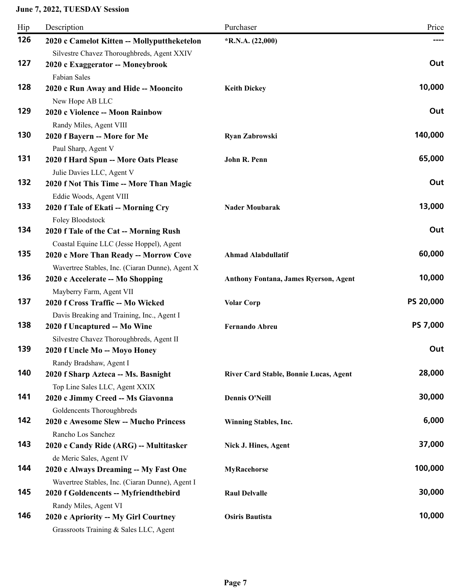| Hip | Description                                                       | Purchaser                                    | Price     |
|-----|-------------------------------------------------------------------|----------------------------------------------|-----------|
| 126 | 2020 c Camelot Kitten -- Mollyputtheketelon                       | $*R.N.A. (22,000)$                           | ----      |
|     | Silvestre Chavez Thoroughbreds, Agent XXIV                        |                                              |           |
| 127 | 2020 c Exaggerator -- Moneybrook                                  |                                              | Out       |
|     | <b>Fabian Sales</b>                                               |                                              |           |
| 128 | 2020 c Run Away and Hide -- Mooncito                              | <b>Keith Dickey</b>                          | 10,000    |
| 129 | New Hope AB LLC<br>2020 c Violence -- Moon Rainbow                |                                              | Out       |
|     | Randy Miles, Agent VIII                                           |                                              |           |
| 130 | 2020 f Bayern -- More for Me                                      | <b>Ryan Zabrowski</b>                        | 140,000   |
|     | Paul Sharp, Agent V                                               |                                              |           |
| 131 | 2020 f Hard Spun -- More Oats Please                              | John R. Penn                                 | 65,000    |
|     | Julie Davies LLC, Agent V                                         |                                              |           |
| 132 | 2020 f Not This Time -- More Than Magic                           |                                              | Out       |
|     | Eddie Woods, Agent VIII                                           |                                              |           |
| 133 | 2020 f Tale of Ekati -- Morning Cry                               | <b>Nader Moubarak</b>                        | 13,000    |
|     | Foley Bloodstock                                                  |                                              |           |
| 134 | 2020 f Tale of the Cat -- Morning Rush                            |                                              | Out       |
|     | Coastal Equine LLC (Jesse Hoppel), Agent                          |                                              |           |
| 135 | 2020 c More Than Ready -- Morrow Cove                             | <b>Ahmad Alabdullatif</b>                    | 60,000    |
| 136 | Wavertree Stables, Inc. (Ciaran Dunne), Agent X                   |                                              | 10,000    |
|     | 2020 c Accelerate -- Mo Shopping<br>Mayberry Farm, Agent VII      | <b>Anthony Fontana, James Ryerson, Agent</b> |           |
| 137 | 2020 f Cross Traffic -- Mo Wicked                                 | <b>Volar Corp</b>                            | PS 20,000 |
|     | Davis Breaking and Training, Inc., Agent I                        |                                              |           |
| 138 | 2020 f Uncaptured -- Mo Wine                                      | <b>Fernando Abreu</b>                        | PS 7,000  |
|     | Silvestre Chavez Thoroughbreds, Agent II                          |                                              |           |
| 139 | 2020 f Uncle Mo -- Moyo Honey                                     |                                              | Out       |
|     | Randy Bradshaw, Agent I                                           |                                              |           |
| 140 | 2020 f Sharp Azteca -- Ms. Basnight                               | River Card Stable, Bonnie Lucas, Agent       | 28,000    |
|     | Top Line Sales LLC, Agent XXIX                                    |                                              |           |
| 141 | 2020 c Jimmy Creed -- Ms Giavonna                                 | <b>Dennis O'Neill</b>                        | 30,000    |
|     | Goldencents Thoroughbreds                                         |                                              |           |
| 142 | 2020 c Awesome Slew -- Mucho Princess                             | Winning Stables, Inc.                        | 6,000     |
| 143 | Rancho Los Sanchez                                                |                                              | 37,000    |
|     | 2020 c Candy Ride (ARG) -- Multitasker                            | Nick J. Hines, Agent                         |           |
| 144 | de Meric Sales, Agent IV<br>2020 c Always Dreaming -- My Fast One | <b>MyRacehorse</b>                           | 100,000   |
|     | Wavertree Stables, Inc. (Ciaran Dunne), Agent I                   |                                              |           |
| 145 | 2020 f Goldencents -- Myfriendthebird                             | <b>Raul Delvalle</b>                         | 30,000    |
|     | Randy Miles, Agent VI                                             |                                              |           |
| 146 | 2020 c Apriority -- My Girl Courtney                              | <b>Osiris Bautista</b>                       | 10,000    |
|     | Grassroots Training & Sales LLC, Agent                            |                                              |           |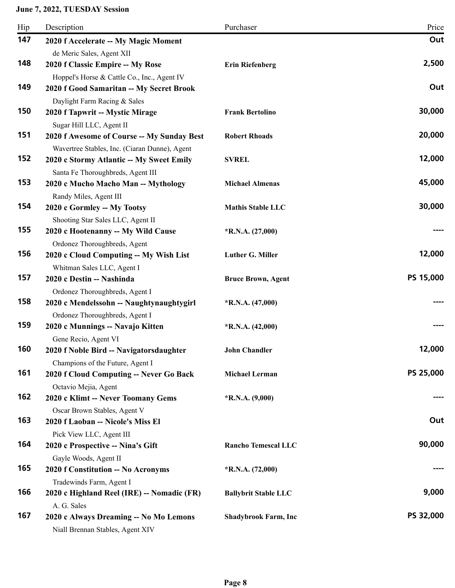| Hip | Description                                                                | Purchaser                   | Price     |
|-----|----------------------------------------------------------------------------|-----------------------------|-----------|
| 147 | 2020 f Accelerate -- My Magic Moment                                       |                             | Out       |
|     | de Meric Sales, Agent XII                                                  |                             |           |
| 148 | 2020 f Classic Empire -- My Rose                                           | <b>Erin Riefenberg</b>      | 2,500     |
|     | Hoppel's Horse & Cattle Co., Inc., Agent IV                                |                             |           |
| 149 | 2020 f Good Samaritan -- My Secret Brook                                   |                             | Out       |
|     | Daylight Farm Racing & Sales                                               |                             |           |
| 150 | 2020 f Tapwrit -- Mystic Mirage                                            | <b>Frank Bertolino</b>      | 30,000    |
|     | Sugar Hill LLC, Agent II                                                   |                             |           |
| 151 | 2020 f Awesome of Course -- My Sunday Best                                 | <b>Robert Rhoads</b>        | 20,000    |
|     | Wavertree Stables, Inc. (Ciaran Dunne), Agent                              |                             |           |
| 152 | 2020 c Stormy Atlantic -- My Sweet Emily                                   | <b>SVREL</b>                | 12,000    |
|     | Santa Fe Thoroughbreds, Agent III                                          |                             |           |
| 153 | 2020 c Mucho Macho Man -- Mythology                                        | <b>Michael Almenas</b>      | 45,000    |
|     | Randy Miles, Agent III                                                     |                             |           |
| 154 | 2020 c Gormley -- My Tootsy                                                | <b>Mathis Stable LLC</b>    | 30,000    |
|     | Shooting Star Sales LLC, Agent II                                          |                             |           |
| 155 | 2020 c Hootenanny -- My Wild Cause                                         | $*R.N.A. (27,000)$          |           |
| 156 | Ordonez Thoroughbreds, Agent                                               |                             | 12,000    |
|     | 2020 c Cloud Computing -- My Wish List                                     | Luther G. Miller            |           |
| 157 | Whitman Sales LLC, Agent I<br>2020 c Destin -- Nashinda                    |                             | PS 15,000 |
|     |                                                                            | <b>Bruce Brown, Agent</b>   |           |
| 158 | Ordonez Thoroughbreds, Agent I<br>2020 c Mendelssohn -- Naughtynaughtygirl | $*R.N.A. (47,000)$          |           |
|     | Ordonez Thoroughbreds, Agent I                                             |                             |           |
| 159 | 2020 c Munnings -- Navajo Kitten                                           | $*R.N.A. (42,000)$          |           |
|     | Gene Recio, Agent VI                                                       |                             |           |
| 160 | 2020 f Noble Bird -- Navigatorsdaughter                                    | <b>John Chandler</b>        | 12,000    |
|     | Champions of the Future, Agent I                                           |                             |           |
| 161 | 2020 f Cloud Computing -- Never Go Back                                    | <b>Michael Lerman</b>       | PS 25,000 |
|     | Octavio Mejia, Agent                                                       |                             |           |
| 162 | 2020 c Klimt -- Never Toomany Gems                                         | $*R.N.A. (9,000)$           |           |
|     | Oscar Brown Stables, Agent V                                               |                             |           |
| 163 | 2020 f Laoban -- Nicole's Miss El                                          |                             | Out       |
|     | Pick View LLC, Agent III                                                   |                             |           |
| 164 | 2020 c Prospective -- Nina's Gift                                          | <b>Rancho Temescal LLC</b>  | 90,000    |
|     | Gayle Woods, Agent II                                                      |                             |           |
| 165 | 2020 f Constitution -- No Acronyms                                         | $*R.N.A. (72,000)$          |           |
|     | Tradewinds Farm, Agent I                                                   |                             |           |
| 166 | 2020 c Highland Reel (IRE) -- Nomadic (FR)                                 | <b>Ballybrit Stable LLC</b> | 9,000     |
|     | A. G. Sales                                                                |                             |           |
| 167 | 2020 c Always Dreaming -- No Mo Lemons                                     | <b>Shadybrook Farm, Inc</b> | PS 32,000 |
|     | Niall Brennan Stables, Agent XIV                                           |                             |           |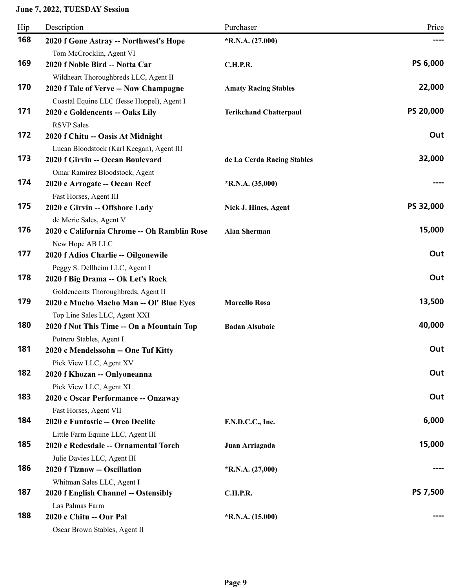| Hip | Description                                 | Purchaser                     | Price           |
|-----|---------------------------------------------|-------------------------------|-----------------|
| 168 | 2020 f Gone Astray -- Northwest's Hope      | $*R.N.A. (27,000)$            | ----            |
|     | Tom McCrocklin, Agent VI                    |                               |                 |
| 169 | 2020 f Noble Bird -- Notta Car              | <b>C.H.P.R.</b>               | <b>PS 6,000</b> |
|     | Wildheart Thoroughbreds LLC, Agent II       |                               |                 |
| 170 | 2020 f Tale of Verve -- Now Champagne       | <b>Amaty Racing Stables</b>   | 22,000          |
|     | Coastal Equine LLC (Jesse Hoppel), Agent I  |                               |                 |
| 171 | 2020 c Goldencents -- Oaks Lily             | <b>Terikchand Chatterpaul</b> | PS 20,000       |
|     | <b>RSVP Sales</b>                           |                               |                 |
| 172 | 2020 f Chitu -- Oasis At Midnight           |                               | Out             |
|     | Lucan Bloodstock (Karl Keegan), Agent III   |                               |                 |
| 173 | 2020 f Girvin -- Ocean Boulevard            | de La Cerda Racing Stables    | 32,000          |
|     | Omar Ramirez Bloodstock, Agent              |                               |                 |
| 174 | 2020 c Arrogate -- Ocean Reef               | $*R.N.A. (35,000)$            |                 |
|     | Fast Horses, Agent III                      |                               |                 |
| 175 | 2020 c Girvin -- Offshore Lady              | Nick J. Hines, Agent          | PS 32,000       |
|     | de Meric Sales, Agent V                     |                               |                 |
| 176 | 2020 c California Chrome -- Oh Ramblin Rose | <b>Alan Sherman</b>           | 15,000          |
|     | New Hope AB LLC                             |                               |                 |
| 177 | 2020 f Adios Charlie -- Oilgonewile         |                               | Out             |
|     | Peggy S. Dellheim LLC, Agent I              |                               |                 |
| 178 | 2020 f Big Drama -- Ok Let's Rock           |                               | Out             |
|     | Goldencents Thoroughbreds, Agent II         |                               |                 |
| 179 | 2020 c Mucho Macho Man -- Ol' Blue Eyes     | <b>Marcello Rosa</b>          | 13,500          |
|     | Top Line Sales LLC, Agent XXI               |                               |                 |
| 180 | 2020 f Not This Time -- On a Mountain Top   | <b>Badan Alsubaie</b>         | 40,000          |
|     | Potrero Stables, Agent I                    |                               |                 |
| 181 | 2020 c Mendelssohn -- One Tuf Kitty         |                               | Out             |
|     | Pick View LLC, Agent XV                     |                               |                 |
| 182 | 2020 f Khozan -- Onlyoneanna                |                               | Out             |
|     | Pick View LLC, Agent XI                     |                               |                 |
| 183 | 2020 c Oscar Performance -- Onzaway         |                               | Out             |
|     | Fast Horses, Agent VII                      |                               |                 |
| 184 | 2020 c Funtastic -- Oreo Deelite            | F.N.D.C.C., Inc.              | 6,000           |
|     | Little Farm Equine LLC, Agent III           |                               |                 |
| 185 | 2020 c Redesdale -- Ornamental Torch        | Juan Arriagada                | 15,000          |
|     | Julie Davies LLC, Agent III                 |                               |                 |
| 186 | 2020 f Tiznow -- Oscillation                | $*R.N.A. (27,000)$            |                 |
|     | Whitman Sales LLC, Agent I                  |                               |                 |
| 187 | 2020 f English Channel -- Ostensibly        | <b>C.H.P.R.</b>               | PS 7,500        |
|     | Las Palmas Farm                             |                               |                 |
| 188 | 2020 c Chitu -- Our Pal                     | $*R.N.A. (15,000)$            |                 |
|     | Oscar Brown Stables, Agent II               |                               |                 |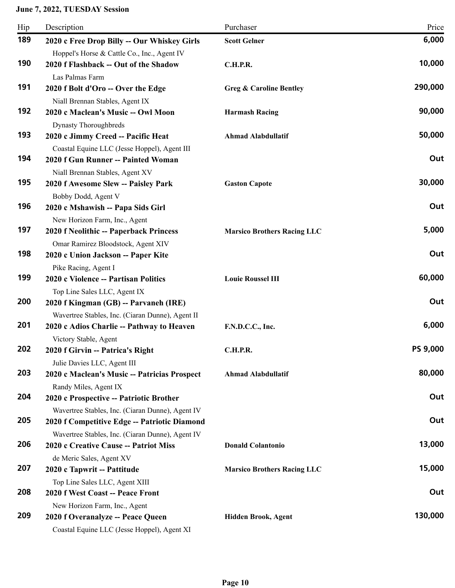| Hip | Description                                                                                                        | Purchaser                          | Price    |
|-----|--------------------------------------------------------------------------------------------------------------------|------------------------------------|----------|
| 189 | 2020 c Free Drop Billy -- Our Whiskey Girls                                                                        | <b>Scott Gelner</b>                | 6,000    |
| 190 | Hoppel's Horse & Cattle Co., Inc., Agent IV<br>2020 f Flashback -- Out of the Shadow                               | <b>C.H.P.R.</b>                    | 10,000   |
| 191 | Las Palmas Farm<br>2020 f Bolt d'Oro -- Over the Edge                                                              | <b>Greg &amp; Caroline Bentley</b> | 290,000  |
| 192 | Niall Brennan Stables, Agent IX<br>2020 c Maclean's Music -- Owl Moon                                              | <b>Harmash Racing</b>              | 90,000   |
| 193 | <b>Dynasty Thoroughbreds</b><br>2020 c Jimmy Creed -- Pacific Heat<br>Coastal Equine LLC (Jesse Hoppel), Agent III | <b>Ahmad Alabdullatif</b>          | 50,000   |
| 194 | 2020 f Gun Runner -- Painted Woman<br>Niall Brennan Stables, Agent XV                                              |                                    | Out      |
| 195 | 2020 f Awesome Slew -- Paisley Park<br>Bobby Dodd, Agent V                                                         | <b>Gaston Capote</b>               | 30,000   |
| 196 | 2020 c Mshawish -- Papa Sids Girl<br>New Horizon Farm, Inc., Agent                                                 |                                    | Out      |
| 197 | 2020 f Neolithic -- Paperback Princess<br>Omar Ramirez Bloodstock, Agent XIV                                       | <b>Marsico Brothers Racing LLC</b> | 5,000    |
| 198 | 2020 c Union Jackson -- Paper Kite<br>Pike Racing, Agent I                                                         |                                    | Out      |
| 199 | 2020 c Violence -- Partisan Politics<br>Top Line Sales LLC, Agent IX                                               | <b>Louie Roussel III</b>           | 60,000   |
| 200 | 2020 f Kingman (GB) -- Parvaneh (IRE)<br>Wavertree Stables, Inc. (Ciaran Dunne), Agent II                          |                                    | Out      |
| 201 | 2020 c Adios Charlie -- Pathway to Heaven<br>Victory Stable, Agent                                                 | F.N.D.C.C., Inc.                   | 6,000    |
| 202 | 2020 f Girvin -- Patrica's Right<br>Julie Davies LLC, Agent III                                                    | <b>C.H.P.R.</b>                    | PS 9,000 |
| 203 | 2020 c Maclean's Music -- Patricias Prospect<br>Randy Miles, Agent IX                                              | <b>Ahmad Alabdullatif</b>          | 80,000   |
| 204 | 2020 c Prospective -- Patriotic Brother<br>Wavertree Stables, Inc. (Ciaran Dunne), Agent IV                        |                                    | Out      |
| 205 | 2020 f Competitive Edge -- Patriotic Diamond<br>Wavertree Stables, Inc. (Ciaran Dunne), Agent IV                   |                                    | Out      |
| 206 | 2020 c Creative Cause -- Patriot Miss<br>de Meric Sales, Agent XV                                                  | <b>Donald Colantonio</b>           | 13,000   |
| 207 | 2020 c Tapwrit -- Pattitude<br>Top Line Sales LLC, Agent XIII                                                      | <b>Marsico Brothers Racing LLC</b> | 15,000   |
| 208 | 2020 f West Coast -- Peace Front<br>New Horizon Farm, Inc., Agent                                                  |                                    | Out      |
| 209 | 2020 f Overanalyze -- Peace Queen<br>Coastal Equine LLC (Jesse Hoppel), Agent XI                                   | Hidden Brook, Agent                | 130,000  |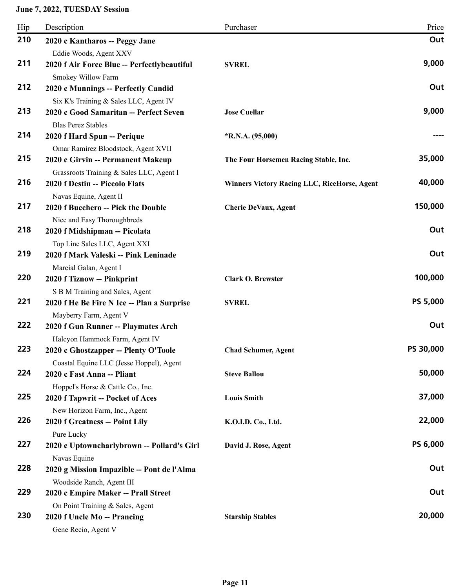| Hip | Description                                                           | Purchaser                                           | Price     |
|-----|-----------------------------------------------------------------------|-----------------------------------------------------|-----------|
| 210 | 2020 c Kantharos -- Peggy Jane                                        |                                                     | Out       |
|     | Eddie Woods, Agent XXV                                                |                                                     |           |
| 211 | 2020 f Air Force Blue -- Perfectlybeautiful                           | <b>SVREL</b>                                        | 9,000     |
|     | Smokey Willow Farm                                                    |                                                     |           |
| 212 | 2020 c Munnings -- Perfectly Candid                                   |                                                     | Out       |
|     | Six K's Training & Sales LLC, Agent IV                                |                                                     |           |
| 213 | 2020 c Good Samaritan -- Perfect Seven                                | <b>Jose Cuellar</b>                                 | 9,000     |
|     | <b>Blas Perez Stables</b>                                             |                                                     |           |
| 214 | 2020 f Hard Spun -- Perique                                           | $*R.N.A. (95,000)$                                  |           |
|     | Omar Ramirez Bloodstock, Agent XVII                                   |                                                     |           |
| 215 | 2020 c Girvin -- Permanent Makeup                                     | The Four Horsemen Racing Stable, Inc.               | 35,000    |
|     | Grassroots Training & Sales LLC, Agent I                              |                                                     |           |
| 216 | 2020 f Destin -- Piccolo Flats                                        | <b>Winners Victory Racing LLC, RiceHorse, Agent</b> | 40,000    |
|     | Navas Equine, Agent II                                                |                                                     |           |
| 217 | 2020 f Bucchero -- Pick the Double                                    | <b>Cherie DeVaux, Agent</b>                         | 150,000   |
|     | Nice and Easy Thoroughbreds                                           |                                                     |           |
| 218 | 2020 f Midshipman -- Picolata                                         |                                                     | Out       |
|     | Top Line Sales LLC, Agent XXI                                         |                                                     |           |
| 219 | 2020 f Mark Valeski -- Pink Leninade                                  |                                                     | Out       |
| 220 | Marcial Galan, Agent I                                                |                                                     |           |
|     | 2020 f Tiznow -- Pinkprint                                            | <b>Clark O. Brewster</b>                            | 100,000   |
| 221 | S B M Training and Sales, Agent                                       |                                                     | PS 5,000  |
|     | 2020 f He Be Fire N Ice -- Plan a Surprise                            | <b>SVREL</b>                                        |           |
| 222 | Mayberry Farm, Agent V                                                |                                                     | Out       |
|     | 2020 f Gun Runner -- Playmates Arch                                   |                                                     |           |
| 223 | Halcyon Hammock Farm, Agent IV                                        |                                                     | PS 30,000 |
|     | 2020 c Ghostzapper -- Plenty O'Toole                                  | <b>Chad Schumer, Agent</b>                          |           |
| 224 | Coastal Equine LLC (Jesse Hoppel), Agent                              | <b>Steve Ballou</b>                                 | 50,000    |
|     | 2020 c Fast Anna -- Pliant                                            |                                                     |           |
| 225 | Hoppel's Horse & Cattle Co., Inc.<br>2020 f Tapwrit -- Pocket of Aces | <b>Louis Smith</b>                                  | 37,000    |
|     |                                                                       |                                                     |           |
| 226 | New Horizon Farm, Inc., Agent<br>2020 f Greatness -- Point Lily       | K.O.I.D. Co., Ltd.                                  | 22,000    |
|     | Pure Lucky                                                            |                                                     |           |
| 227 | 2020 c Uptowncharlybrown -- Pollard's Girl                            | David J. Rose, Agent                                | PS 6,000  |
|     | Navas Equine                                                          |                                                     |           |
| 228 | 2020 g Mission Impazible -- Pont de l'Alma                            |                                                     | Out       |
|     | Woodside Ranch, Agent III                                             |                                                     |           |
| 229 | 2020 c Empire Maker -- Prall Street                                   |                                                     | Out       |
|     | On Point Training & Sales, Agent                                      |                                                     |           |
| 230 | 2020 f Uncle Mo -- Prancing                                           | <b>Starship Stables</b>                             | 20,000    |
|     | Gene Recio, Agent V                                                   |                                                     |           |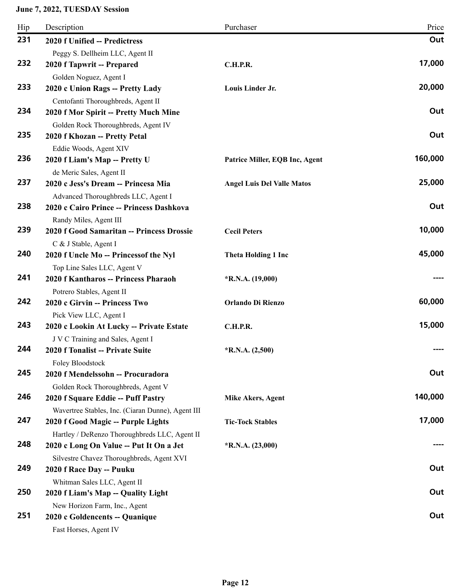| Hip | Description                                                                     | Purchaser                         | Price   |
|-----|---------------------------------------------------------------------------------|-----------------------------------|---------|
| 231 | 2020 f Unified -- Predictress                                                   |                                   | Out     |
|     | Peggy S. Dellheim LLC, Agent II                                                 |                                   |         |
| 232 | 2020 f Tapwrit -- Prepared                                                      | <b>C.H.P.R.</b>                   | 17,000  |
|     | Golden Noguez, Agent I                                                          |                                   |         |
| 233 | 2020 c Union Rags -- Pretty Lady                                                | Louis Linder Jr.                  | 20,000  |
|     | Centofanti Thoroughbreds, Agent II                                              |                                   |         |
| 234 | 2020 f Mor Spirit -- Pretty Much Mine                                           |                                   | Out     |
|     | Golden Rock Thoroughbreds, Agent IV                                             |                                   |         |
| 235 | 2020 f Khozan -- Pretty Petal                                                   |                                   | Out     |
|     | Eddie Woods, Agent XIV                                                          |                                   |         |
| 236 | 2020 f Liam's Map -- Pretty U                                                   | Patrice Miller, EQB Inc, Agent    | 160,000 |
| 237 | de Meric Sales, Agent II                                                        |                                   | 25,000  |
|     | 2020 c Jess's Dream -- Princesa Mia                                             | <b>Angel Luis Del Valle Matos</b> |         |
| 238 | Advanced Thoroughbreds LLC, Agent I<br>2020 c Cairo Prince -- Princess Dashkova |                                   | Out     |
|     |                                                                                 |                                   |         |
| 239 | Randy Miles, Agent III<br>2020 f Good Samaritan -- Princess Drossie             | <b>Cecil Peters</b>               | 10,000  |
|     | C & J Stable, Agent I                                                           |                                   |         |
| 240 | 2020 f Uncle Mo -- Princessof the Nyl                                           | <b>Theta Holding 1 Inc</b>        | 45,000  |
|     | Top Line Sales LLC, Agent V                                                     |                                   |         |
| 241 | 2020 f Kantharos -- Princess Pharaoh                                            | $*R.N.A. (19,000)$                |         |
|     | Potrero Stables, Agent II                                                       |                                   |         |
| 242 | 2020 c Girvin -- Princess Two                                                   | Orlando Di Rienzo                 | 60,000  |
|     | Pick View LLC, Agent I                                                          |                                   |         |
| 243 | 2020 c Lookin At Lucky -- Private Estate                                        | C.H.P.R.                          | 15,000  |
|     | J V C Training and Sales, Agent I                                               |                                   |         |
| 244 | 2020 f Tonalist -- Private Suite                                                | $*R.N.A. (2,500)$                 |         |
|     | Foley Bloodstock                                                                |                                   |         |
| 245 | 2020 f Mendelssohn -- Procuradora                                               |                                   | Out     |
|     | Golden Rock Thoroughbreds, Agent V                                              |                                   |         |
| 246 | 2020 f Square Eddie -- Puff Pastry                                              | <b>Mike Akers, Agent</b>          | 140,000 |
|     | Wavertree Stables, Inc. (Ciaran Dunne), Agent III                               |                                   |         |
| 247 | 2020 f Good Magic -- Purple Lights                                              | <b>Tic-Tock Stables</b>           | 17,000  |
|     | Hartley / DeRenzo Thoroughbreds LLC, Agent II                                   |                                   |         |
| 248 | 2020 c Long On Value -- Put It On a Jet                                         | $*R.N.A. (23,000)$                |         |
|     | Silvestre Chavez Thoroughbreds, Agent XVI                                       |                                   |         |
| 249 | 2020 f Race Day -- Puuku                                                        |                                   | Out     |
|     | Whitman Sales LLC, Agent II                                                     |                                   |         |
| 250 | 2020 f Liam's Map -- Quality Light                                              |                                   | Out     |
|     | New Horizon Farm, Inc., Agent                                                   |                                   |         |
| 251 | 2020 c Goldencents -- Quanique                                                  |                                   | Out     |
|     | Fast Horses, Agent IV                                                           |                                   |         |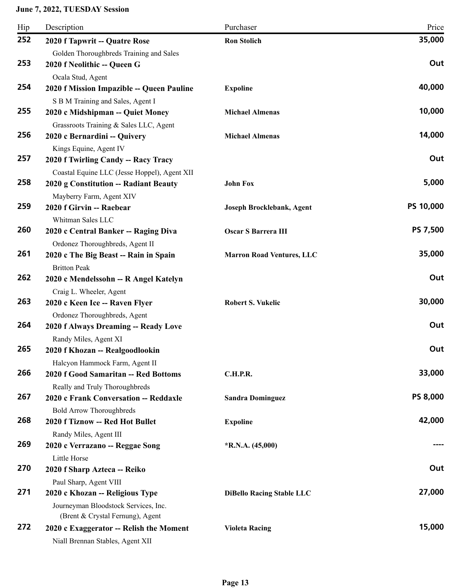| Hip | Description                                                              | Purchaser                        | Price           |
|-----|--------------------------------------------------------------------------|----------------------------------|-----------------|
| 252 | 2020 f Tapwrit -- Quatre Rose                                            | <b>Ron Stolich</b>               | 35,000          |
| 253 | Golden Thoroughbreds Training and Sales<br>2020 f Neolithic -- Queen G   |                                  | Out             |
|     | Ocala Stud, Agent                                                        |                                  |                 |
| 254 | 2020 f Mission Impazible -- Queen Pauline                                | <b>Expoline</b>                  | 40,000          |
| 255 | S B M Training and Sales, Agent I                                        |                                  | 10,000          |
|     | 2020 c Midshipman -- Quiet Money                                         | <b>Michael Almenas</b>           |                 |
| 256 | Grassroots Training & Sales LLC, Agent<br>2020 c Bernardini -- Quivery   | <b>Michael Almenas</b>           | 14,000          |
|     | Kings Equine, Agent IV                                                   |                                  |                 |
| 257 | 2020 f Twirling Candy -- Racy Tracy                                      |                                  | Out             |
|     | Coastal Equine LLC (Jesse Hoppel), Agent XII                             |                                  |                 |
| 258 | 2020 g Constitution -- Radiant Beauty                                    | <b>John Fox</b>                  | 5,000           |
|     | Mayberry Farm, Agent XIV                                                 |                                  |                 |
| 259 | 2020 f Girvin -- Raebear                                                 | Joseph Brocklebank, Agent        | PS 10,000       |
|     | Whitman Sales LLC                                                        |                                  |                 |
| 260 | 2020 c Central Banker -- Raging Diva                                     | Oscar S Barrera III              | <b>PS 7,500</b> |
|     | Ordonez Thoroughbreds, Agent II                                          |                                  |                 |
| 261 | 2020 c The Big Beast -- Rain in Spain                                    | <b>Marron Road Ventures, LLC</b> | 35,000          |
| 262 | <b>Britton Peak</b>                                                      |                                  | Out             |
|     | 2020 c Mendelssohn -- R Angel Katelyn                                    |                                  |                 |
| 263 | Craig L. Wheeler, Agent                                                  | <b>Robert S. Vukelic</b>         | 30,000          |
|     | 2020 c Keen Ice -- Raven Flyer                                           |                                  |                 |
| 264 | Ordonez Thoroughbreds, Agent<br>2020 f Always Dreaming -- Ready Love     |                                  | Out             |
|     | Randy Miles, Agent XI                                                    |                                  |                 |
| 265 | 2020 f Khozan -- Realgoodlookin                                          |                                  | Out             |
|     | Halcyon Hammock Farm, Agent II                                           |                                  |                 |
| 266 | 2020 f Good Samaritan -- Red Bottoms                                     | <b>C.H.P.R.</b>                  | 33,000          |
|     | Really and Truly Thoroughbreds                                           |                                  |                 |
| 267 | 2020 c Frank Conversation -- Reddaxle                                    | <b>Sandra Dominguez</b>          | <b>PS 8,000</b> |
|     | <b>Bold Arrow Thoroughbreds</b>                                          |                                  |                 |
| 268 | 2020 f Tiznow -- Red Hot Bullet                                          | <b>Expoline</b>                  | 42,000          |
|     | Randy Miles, Agent III                                                   |                                  |                 |
| 269 | 2020 c Verrazano -- Reggae Song                                          | $*R.N.A. (45,000)$               |                 |
|     | Little Horse                                                             |                                  |                 |
| 270 | 2020 f Sharp Azteca -- Reiko                                             |                                  | Out             |
| 271 | Paul Sharp, Agent VIII                                                   |                                  | 27,000          |
|     | 2020 c Khozan -- Religious Type                                          | <b>DiBello Racing Stable LLC</b> |                 |
|     | Journeyman Bloodstock Services, Inc.<br>(Brent & Crystal Fernung), Agent |                                  |                 |
| 272 | 2020 c Exaggerator -- Relish the Moment                                  | <b>Violeta Racing</b>            | 15,000          |
|     | Niall Brennan Stables, Agent XII                                         |                                  |                 |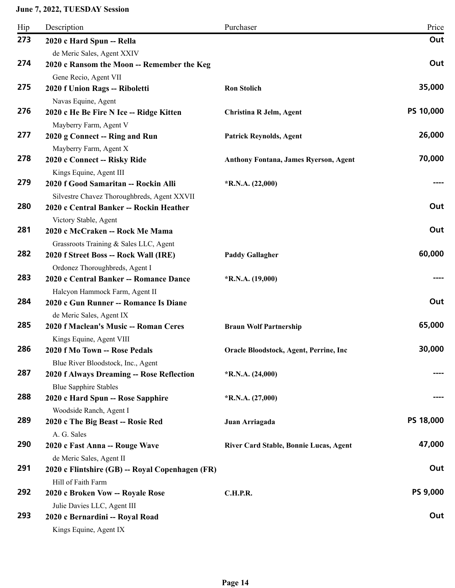| Hip | Description                                                                     | Purchaser                              | Price           |
|-----|---------------------------------------------------------------------------------|----------------------------------------|-----------------|
| 273 | 2020 c Hard Spun -- Rella                                                       |                                        | Out             |
|     | de Meric Sales, Agent XXIV                                                      |                                        |                 |
| 274 | 2020 c Ransom the Moon -- Remember the Keg                                      |                                        | Out             |
|     | Gene Recio, Agent VII                                                           |                                        |                 |
| 275 | 2020 f Union Rags -- Riboletti                                                  | <b>Ron Stolich</b>                     | 35,000          |
|     | Navas Equine, Agent                                                             |                                        |                 |
| 276 | 2020 c He Be Fire N Ice -- Ridge Kitten                                         | Christina R Jelm, Agent                | PS 10,000       |
|     | Mayberry Farm, Agent V                                                          |                                        |                 |
| 277 | 2020 g Connect -- Ring and Run                                                  | <b>Patrick Reynolds, Agent</b>         | 26,000          |
|     | Mayberry Farm, Agent X                                                          |                                        |                 |
| 278 | 2020 c Connect -- Risky Ride                                                    | Anthony Fontana, James Ryerson, Agent  | 70,000          |
| 279 | Kings Equine, Agent III                                                         |                                        |                 |
|     | 2020 f Good Samaritan -- Rockin Alli                                            | $*R.N.A. (22,000)$                     |                 |
| 280 | Silvestre Chavez Thoroughbreds, Agent XXVII                                     |                                        | Out             |
|     | 2020 c Central Banker -- Rockin Heather                                         |                                        |                 |
| 281 | Victory Stable, Agent<br>2020 c McCraken -- Rock Me Mama                        |                                        | Out             |
|     |                                                                                 |                                        |                 |
| 282 | Grassroots Training & Sales LLC, Agent<br>2020 f Street Boss -- Rock Wall (IRE) | <b>Paddy Gallagher</b>                 | 60,000          |
|     | Ordonez Thoroughbreds, Agent I                                                  |                                        |                 |
| 283 | 2020 c Central Banker -- Romance Dance                                          | $*R.N.A. (19,000)$                     |                 |
|     | Halcyon Hammock Farm, Agent II                                                  |                                        |                 |
| 284 | 2020 c Gun Runner -- Romance Is Diane                                           |                                        | Out             |
|     | de Meric Sales, Agent IX                                                        |                                        |                 |
| 285 | 2020 f Maclean's Music -- Roman Ceres                                           | <b>Braun Wolf Partnership</b>          | 65,000          |
|     | Kings Equine, Agent VIII                                                        |                                        |                 |
| 286 | 2020 f Mo Town -- Rose Pedals                                                   | Oracle Bloodstock, Agent, Perrine, Inc | 30,000          |
|     | Blue River Bloodstock, Inc., Agent                                              |                                        |                 |
| 287 | 2020 f Always Dreaming -- Rose Reflection                                       | $*R.N.A. (24,000)$                     |                 |
|     | <b>Blue Sapphire Stables</b>                                                    |                                        |                 |
| 288 | 2020 c Hard Spun -- Rose Sapphire                                               | $*R.N.A. (27,000)$                     |                 |
|     | Woodside Ranch, Agent I                                                         |                                        |                 |
| 289 | 2020 c The Big Beast -- Rosie Red                                               | Juan Arriagada                         | PS 18,000       |
|     | A. G. Sales                                                                     |                                        |                 |
| 290 | 2020 c Fast Anna -- Rouge Wave                                                  | River Card Stable, Bonnie Lucas, Agent | 47,000          |
|     | de Meric Sales, Agent II                                                        |                                        |                 |
| 291 | 2020 c Flintshire (GB) -- Royal Copenhagen (FR)                                 |                                        | Out             |
|     | Hill of Faith Farm                                                              |                                        |                 |
| 292 | 2020 c Broken Vow -- Royale Rose                                                | <b>C.H.P.R.</b>                        | <b>PS 9,000</b> |
|     | Julie Davies LLC, Agent III                                                     |                                        |                 |
| 293 | 2020 c Bernardini -- Royal Road                                                 |                                        | Out             |
|     | Kings Equine, Agent IX                                                          |                                        |                 |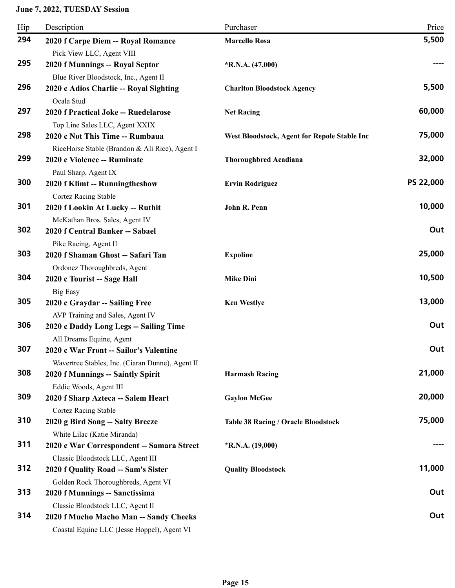| Hip | Description                                                                           | Purchaser                                    | Price     |
|-----|---------------------------------------------------------------------------------------|----------------------------------------------|-----------|
| 294 | 2020 f Carpe Diem -- Royal Romance                                                    | <b>Marcello Rosa</b>                         | 5,500     |
|     | Pick View LLC, Agent VIII                                                             |                                              |           |
| 295 | 2020 f Munnings -- Royal Septor                                                       | $*R.N.A. (47,000)$                           |           |
|     | Blue River Bloodstock, Inc., Agent II                                                 |                                              |           |
| 296 | 2020 c Adios Charlie -- Royal Sighting                                                | <b>Charlton Bloodstock Agency</b>            | 5,500     |
|     | Ocala Stud                                                                            |                                              |           |
| 297 | 2020 f Practical Joke -- Ruedelarose                                                  | <b>Net Racing</b>                            | 60,000    |
|     | Top Line Sales LLC, Agent XXIX                                                        |                                              |           |
| 298 | 2020 c Not This Time -- Rumbaua                                                       | West Bloodstock, Agent for Repole Stable Inc | 75,000    |
| 299 | RiceHorse Stable (Brandon & Ali Rice), Agent I                                        |                                              | 32,000    |
|     | 2020 c Violence -- Ruminate                                                           | <b>Thoroughbred Acadiana</b>                 |           |
| 300 | Paul Sharp, Agent IX<br>2020 f Klimt -- Runningtheshow                                | <b>Ervin Rodriguez</b>                       | PS 22,000 |
|     | <b>Cortez Racing Stable</b>                                                           |                                              |           |
| 301 | 2020 f Lookin At Lucky -- Ruthit                                                      | John R. Penn                                 | 10,000    |
|     | McKathan Bros. Sales, Agent IV                                                        |                                              |           |
| 302 | 2020 f Central Banker -- Sabael                                                       |                                              | Out       |
|     | Pike Racing, Agent II                                                                 |                                              |           |
| 303 | 2020 f Shaman Ghost -- Safari Tan                                                     | <b>Expoline</b>                              | 25,000    |
|     | Ordonez Thoroughbreds, Agent                                                          |                                              |           |
| 304 | 2020 c Tourist -- Sage Hall                                                           | <b>Mike Dini</b>                             | 10,500    |
|     | <b>Big Easy</b>                                                                       |                                              |           |
| 305 | 2020 c Graydar -- Sailing Free                                                        | <b>Ken Westlye</b>                           | 13,000    |
|     | AVP Training and Sales, Agent IV                                                      |                                              |           |
| 306 | 2020 c Daddy Long Legs -- Sailing Time                                                |                                              | Out       |
|     | All Dreams Equine, Agent                                                              |                                              |           |
| 307 | 2020 c War Front -- Sailor's Valentine                                                |                                              | Out       |
| 308 | Wavertree Stables, Inc. (Ciaran Dunne), Agent II<br>2020 f Munnings -- Saintly Spirit | <b>Harmash Racing</b>                        | 21,000    |
|     | Eddie Woods, Agent III                                                                |                                              |           |
| 309 | 2020 f Sharp Azteca -- Salem Heart                                                    | <b>Gaylon McGee</b>                          | 20,000    |
|     | <b>Cortez Racing Stable</b>                                                           |                                              |           |
| 310 | 2020 g Bird Song -- Salty Breeze                                                      | <b>Table 38 Racing / Oracle Bloodstock</b>   | 75,000    |
|     | White Lilac (Katie Miranda)                                                           |                                              |           |
| 311 | 2020 c War Correspondent -- Samara Street                                             | $*R.N.A. (19,000)$                           |           |
|     | Classic Bloodstock LLC, Agent III                                                     |                                              |           |
| 312 | 2020 f Quality Road -- Sam's Sister                                                   | <b>Quality Bloodstock</b>                    | 11,000    |
|     | Golden Rock Thoroughbreds, Agent VI                                                   |                                              |           |
| 313 | 2020 f Munnings -- Sanctissima                                                        |                                              | Out       |
|     | Classic Bloodstock LLC, Agent II                                                      |                                              |           |
| 314 | 2020 f Mucho Macho Man -- Sandy Cheeks                                                |                                              | Out       |
|     | Coastal Equine LLC (Jesse Hoppel), Agent VI                                           |                                              |           |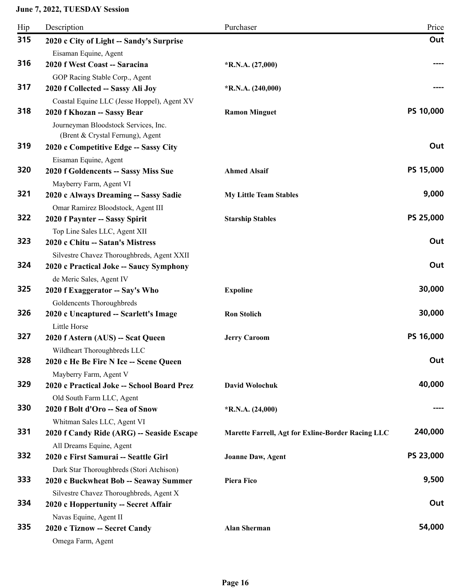| Hip | Description                                                                     | Purchaser                                         | Price     |
|-----|---------------------------------------------------------------------------------|---------------------------------------------------|-----------|
| 315 | 2020 c City of Light -- Sandy's Surprise                                        |                                                   | Out       |
|     | Eisaman Equine, Agent                                                           |                                                   |           |
| 316 | 2020 f West Coast -- Saracina                                                   | $*R.N.A. (27,000)$                                |           |
|     | GOP Racing Stable Corp., Agent                                                  |                                                   |           |
| 317 | 2020 f Collected -- Sassy Ali Joy                                               | $*R.N.A. (240,000)$                               |           |
|     | Coastal Equine LLC (Jesse Hoppel), Agent XV                                     |                                                   |           |
| 318 | 2020 f Khozan -- Sassy Bear                                                     | <b>Ramon Minguet</b>                              | PS 10,000 |
|     | Journeyman Bloodstock Services, Inc.<br>(Brent & Crystal Fernung), Agent        |                                                   |           |
| 319 | 2020 c Competitive Edge -- Sassy City                                           |                                                   | Out       |
|     | Eisaman Equine, Agent                                                           |                                                   |           |
| 320 | 2020 f Goldencents -- Sassy Miss Sue                                            | <b>Ahmed Alsaif</b>                               | PS 15,000 |
|     | Mayberry Farm, Agent VI                                                         |                                                   |           |
| 321 | 2020 c Always Dreaming -- Sassy Sadie                                           | <b>My Little Team Stables</b>                     | 9,000     |
|     | Omar Ramirez Bloodstock, Agent III                                              |                                                   |           |
| 322 | 2020 f Paynter -- Sassy Spirit                                                  | <b>Starship Stables</b>                           | PS 25,000 |
|     | Top Line Sales LLC, Agent XII                                                   |                                                   |           |
| 323 | 2020 c Chitu -- Satan's Mistress                                                |                                                   | Out       |
|     | Silvestre Chavez Thoroughbreds, Agent XXII                                      |                                                   |           |
| 324 | 2020 c Practical Joke -- Saucy Symphony                                         |                                                   | Out       |
|     | de Meric Sales, Agent IV                                                        |                                                   |           |
| 325 | 2020 f Exaggerator -- Say's Who                                                 | <b>Expoline</b>                                   | 30,000    |
|     | Goldencents Thoroughbreds                                                       |                                                   |           |
| 326 | 2020 c Uncaptured -- Scarlett's Image                                           | <b>Ron Stolich</b>                                | 30,000    |
|     | Little Horse                                                                    |                                                   |           |
| 327 | 2020 f Astern (AUS) -- Scat Queen                                               | <b>Jerry Caroom</b>                               | PS 16,000 |
|     | Wildheart Thoroughbreds LLC                                                     |                                                   |           |
| 328 | 2020 c He Be Fire N Ice -- Scene Queen                                          |                                                   | Out       |
|     | Mayberry Farm, Agent V                                                          |                                                   | 40,000    |
| 329 | 2020 c Practical Joke -- School Board Prez                                      | <b>David Wolochuk</b>                             |           |
| 330 | Old South Farm LLC, Agent                                                       |                                                   |           |
|     | 2020 f Bolt d'Oro -- Sea of Snow                                                | $*R.N.A. (24,000)$                                |           |
| 331 | Whitman Sales LLC, Agent VI                                                     |                                                   | 240,000   |
|     | 2020 f Candy Ride (ARG) -- Seaside Escape                                       | Marette Farrell, Agt for Exline-Border Racing LLC |           |
| 332 | All Dreams Equine, Agent                                                        |                                                   | PS 23,000 |
|     | 2020 c First Samurai -- Seattle Girl                                            | <b>Joanne Daw, Agent</b>                          |           |
| 333 | Dark Star Thoroughbreds (Stori Atchison)                                        | <b>Piera Fico</b>                                 | 9,500     |
|     | 2020 c Buckwheat Bob -- Seaway Summer                                           |                                                   |           |
| 334 | Silvestre Chavez Thoroughbreds, Agent X<br>2020 c Hoppertunity -- Secret Affair |                                                   | Out       |
|     | Navas Equine, Agent II                                                          |                                                   |           |
| 335 | 2020 c Tiznow -- Secret Candy                                                   | <b>Alan Sherman</b>                               | 54,000    |
|     | Omega Farm, Agent                                                               |                                                   |           |
|     |                                                                                 |                                                   |           |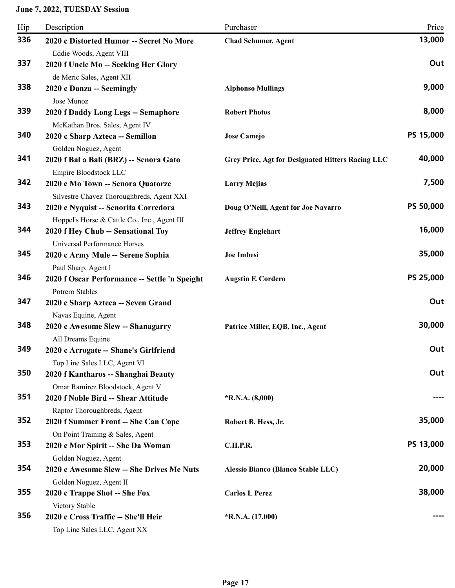| Hip | Description                                                                       | Purchaser                                         | Price     |
|-----|-----------------------------------------------------------------------------------|---------------------------------------------------|-----------|
| 336 | 2020 c Distorted Humor -- Secret No More                                          | <b>Chad Schumer, Agent</b>                        | 13,000    |
|     | Eddie Woods, Agent VIII                                                           |                                                   |           |
| 337 | 2020 f Uncle Mo -- Seeking Her Glory                                              |                                                   | Out       |
|     | de Meric Sales, Agent XII                                                         |                                                   |           |
| 338 | 2020 c Danza -- Seemingly                                                         | <b>Alphonso Mullings</b>                          | 9,000     |
|     | Jose Munoz                                                                        |                                                   |           |
| 339 | 2020 f Daddy Long Legs -- Semaphore                                               | <b>Robert Photos</b>                              | 8,000     |
|     | McKathan Bros. Sales, Agent IV                                                    |                                                   |           |
| 340 | 2020 c Sharp Azteca -- Semillon                                                   | <b>Jose Camejo</b>                                | PS 15,000 |
|     | Golden Noguez, Agent                                                              |                                                   | 40,000    |
| 341 | 2020 f Bal a Bali (BRZ) -- Senora Gato                                            | Grey Price, Agt for Designated Hitters Racing LLC |           |
| 342 | Empire Bloodstock LLC<br>2020 c Mo Town -- Senora Quatorze                        |                                                   | 7,500     |
|     |                                                                                   | <b>Larry Mejias</b>                               |           |
| 343 | Silvestre Chavez Thoroughbreds, Agent XXI<br>2020 c Nyquist -- Senorita Corredora | Doug O'Neill, Agent for Joe Navarro               | PS 50,000 |
|     | Hoppel's Horse & Cattle Co., Inc., Agent III                                      |                                                   |           |
| 344 | 2020 f Hey Chub -- Sensational Toy                                                | <b>Jeffrey Englehart</b>                          | 16,000    |
|     | Universal Performance Horses                                                      |                                                   |           |
| 345 | 2020 c Army Mule -- Serene Sophia                                                 | Joe Imbesi                                        | 35,000    |
|     | Paul Sharp, Agent I                                                               |                                                   |           |
| 346 | 2020 f Oscar Performance -- Settle 'n Speight                                     | <b>Augstin F. Cordero</b>                         | PS 25,000 |
|     | <b>Potrero Stables</b>                                                            |                                                   |           |
| 347 | 2020 c Sharp Azteca -- Seven Grand                                                |                                                   | Out       |
|     | Navas Equine, Agent                                                               |                                                   |           |
| 348 | 2020 c Awesome Slew -- Shanagarry                                                 | Patrice Miller, EQB, Inc., Agent                  | 30,000    |
|     | All Dreams Equine                                                                 |                                                   |           |
| 349 | 2020 c Arrogate -- Shane's Girlfriend                                             |                                                   | Out       |
|     | Top Line Sales LLC, Agent VI                                                      |                                                   |           |
| 350 | 2020 f Kantharos -- Shanghai Beauty                                               |                                                   | Out       |
|     | Omar Ramirez Bloodstock, Agent V                                                  |                                                   |           |
| 351 | 2020 f Noble Bird -- Shear Attitude                                               | $*R.N.A. (8,000)$                                 |           |
|     | Raptor Thoroughbreds, Agent                                                       |                                                   |           |
| 352 | 2020 f Summer Front -- She Can Cope                                               | Robert B. Hess, Jr.                               | 35,000    |
| 353 | On Point Training & Sales, Agent                                                  |                                                   | PS 13,000 |
|     | 2020 c Mor Spirit -- She Da Woman                                                 | <b>C.H.P.R.</b>                                   |           |
| 354 | Golden Noguez, Agent<br>2020 c Awesome Slew -- She Drives Me Nuts                 |                                                   | 20,000    |
|     |                                                                                   | Alessio Bianco (Blanco Stable LLC)                |           |
| 355 | Golden Noguez, Agent II<br>2020 c Trappe Shot -- She Fox                          | <b>Carlos L Perez</b>                             | 38,000    |
|     | Victory Stable                                                                    |                                                   |           |
| 356 | 2020 c Cross Traffic -- She'll Heir                                               | $*R.N.A. (17,000)$                                |           |
|     | Top Line Sales LLC, Agent XX                                                      |                                                   |           |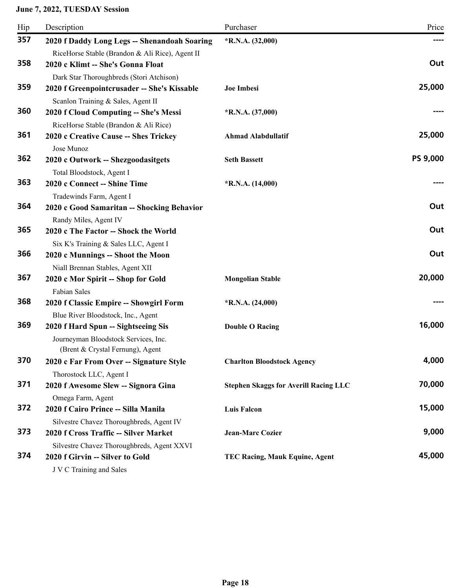| Hip | Description                                               | Purchaser                                    | Price    |
|-----|-----------------------------------------------------------|----------------------------------------------|----------|
| 357 | 2020 f Daddy Long Legs -- Shenandoah Soaring              | $*R.N.A. (32,000)$                           |          |
|     | RiceHorse Stable (Brandon & Ali Rice), Agent II           |                                              |          |
| 358 | 2020 c Klimt -- She's Gonna Float                         |                                              | Out      |
|     | Dark Star Thoroughbreds (Stori Atchison)                  |                                              |          |
| 359 | 2020 f Greenpointcrusader -- She's Kissable               | <b>Joe Imbesi</b>                            | 25,000   |
|     | Scanlon Training & Sales, Agent II                        |                                              |          |
| 360 | 2020 f Cloud Computing -- She's Messi                     | $*R.N.A. (37,000)$                           |          |
| 361 | RiceHorse Stable (Brandon & Ali Rice)                     |                                              | 25,000   |
|     | 2020 c Creative Cause -- Shes Trickey                     | <b>Ahmad Alabdullatif</b>                    |          |
| 362 | Jose Munoz                                                | <b>Seth Bassett</b>                          | PS 9,000 |
|     | 2020 c Outwork -- Shezgoodasitgets                        |                                              |          |
| 363 | Total Bloodstock, Agent I<br>2020 c Connect -- Shine Time | $*R.N.A. (14,000)$                           |          |
|     | Tradewinds Farm, Agent I                                  |                                              |          |
| 364 | 2020 c Good Samaritan -- Shocking Behavior                |                                              | Out      |
|     | Randy Miles, Agent IV                                     |                                              |          |
| 365 | 2020 c The Factor -- Shock the World                      |                                              | Out      |
|     | Six K's Training & Sales LLC, Agent I                     |                                              |          |
| 366 | 2020 c Munnings -- Shoot the Moon                         |                                              | Out      |
|     | Niall Brennan Stables, Agent XII                          |                                              |          |
| 367 | 2020 c Mor Spirit -- Shop for Gold                        | <b>Mongolian Stable</b>                      | 20,000   |
|     | Fabian Sales                                              |                                              |          |
| 368 | 2020 f Classic Empire -- Showgirl Form                    | $*R.N.A. (24,000)$                           |          |
|     | Blue River Bloodstock, Inc., Agent                        |                                              |          |
| 369 | 2020 f Hard Spun -- Sightseeing Sis                       | <b>Double O Racing</b>                       | 16,000   |
|     | Journeyman Bloodstock Services, Inc.                      |                                              |          |
|     | (Brent & Crystal Fernung), Agent                          |                                              |          |
| 370 | 2020 c Far From Over -- Signature Style                   | <b>Charlton Bloodstock Agency</b>            | 4,000    |
|     | Thorostock LLC, Agent I                                   |                                              |          |
| 371 | 2020 f Awesome Slew -- Signora Gina                       | <b>Stephen Skaggs for Averill Racing LLC</b> | 70,000   |
|     | Omega Farm, Agent                                         |                                              |          |
| 372 | 2020 f Cairo Prince -- Silla Manila                       | <b>Luis Falcon</b>                           | 15,000   |
|     | Silvestre Chavez Thoroughbreds, Agent IV                  |                                              |          |
| 373 | 2020 f Cross Traffic -- Silver Market                     | <b>Jean-Marc Cozier</b>                      | 9,000    |
| 374 | Silvestre Chavez Thoroughbreds, Agent XXVI                |                                              | 45,000   |
|     | 2020 f Girvin -- Silver to Gold                           | TEC Racing, Mauk Equine, Agent               |          |
|     | J V C Training and Sales                                  |                                              |          |